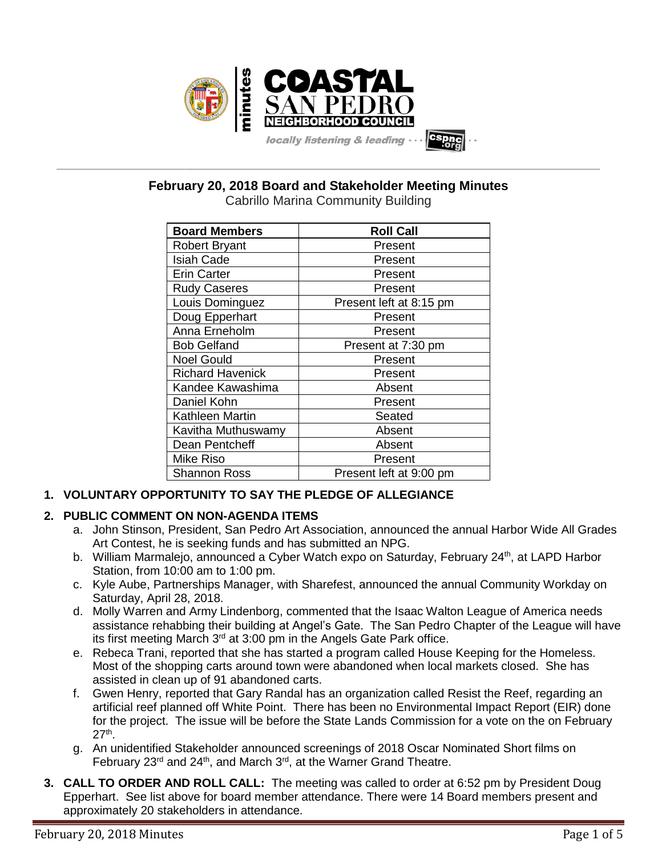

**February 20, 2018 Board and Stakeholder Meeting Minutes**

**\_\_\_\_\_\_\_\_\_\_\_\_\_\_\_\_\_\_\_\_\_\_\_\_\_\_\_\_\_\_\_\_\_\_\_\_\_\_\_\_\_\_\_\_\_\_\_\_\_\_\_\_\_\_\_\_\_\_\_\_\_\_\_\_\_\_\_\_\_\_\_\_\_\_\_\_\_\_\_\_\_\_\_\_\_\_\_\_\_\_\_\_\_\_\_\_\_\_\_\_\_\_\_\_\_\_\_\_\_\_\_\_\_**

| <b>Board Members</b>    | <b>Roll Call</b>        |
|-------------------------|-------------------------|
| <b>Robert Bryant</b>    | Present                 |
| <b>Isiah Cade</b>       | Present                 |
| <b>Erin Carter</b>      | Present                 |
| <b>Rudy Caseres</b>     | Present                 |
| Louis Dominguez         | Present left at 8:15 pm |
| Doug Epperhart          | Present                 |
| Anna Erneholm           | Present                 |
| <b>Bob Gelfand</b>      | Present at 7:30 pm      |
| <b>Noel Gould</b>       | Present                 |
| <b>Richard Havenick</b> | Present                 |
| Kandee Kawashima        | Absent                  |
| Daniel Kohn             | Present                 |
| Kathleen Martin         | Seated                  |
| Kavitha Muthuswamy      | Absent                  |
| Dean Pentcheff          | Absent                  |
| <b>Mike Riso</b>        | Present                 |
| <b>Shannon Ross</b>     | Present left at 9:00 pm |

# **1. VOLUNTARY OPPORTUNITY TO SAY THE PLEDGE OF ALLEGIANCE**

# **2. PUBLIC COMMENT ON NON-AGENDA ITEMS**

- a. John Stinson, President, San Pedro Art Association, announced the annual Harbor Wide All Grades Art Contest, he is seeking funds and has submitted an NPG.
- b. William Marmalejo, announced a Cyber Watch expo on Saturday, February 24<sup>th</sup>, at LAPD Harbor Station, from 10:00 am to 1:00 pm.
- c. Kyle Aube, Partnerships Manager, with Sharefest, announced the annual Community Workday on Saturday, April 28, 2018.
- d. Molly Warren and Army Lindenborg, commented that the Isaac Walton League of America needs assistance rehabbing their building at Angel's Gate. The San Pedro Chapter of the League will have its first meeting March  $3<sup>rd</sup>$  at 3:00 pm in the Angels Gate Park office.
- e. Rebeca Trani, reported that she has started a program called House Keeping for the Homeless. Most of the shopping carts around town were abandoned when local markets closed. She has assisted in clean up of 91 abandoned carts.
- f. Gwen Henry, reported that Gary Randal has an organization called Resist the Reef, regarding an artificial reef planned off White Point. There has been no Environmental Impact Report (EIR) done for the project. The issue will be before the State Lands Commission for a vote on the on February  $27<sup>th</sup>$ .
- g. An unidentified Stakeholder announced screenings of 2018 Oscar Nominated Short films on February 23<sup>rd</sup> and 24<sup>th</sup>, and March 3<sup>rd</sup>, at the Warner Grand Theatre.
- **3. CALL TO ORDER AND ROLL CALL:** The meeting was called to order at 6:52 pm by President Doug Epperhart. See list above for board member attendance. There were 14 Board members present and approximately 20 stakeholders in attendance.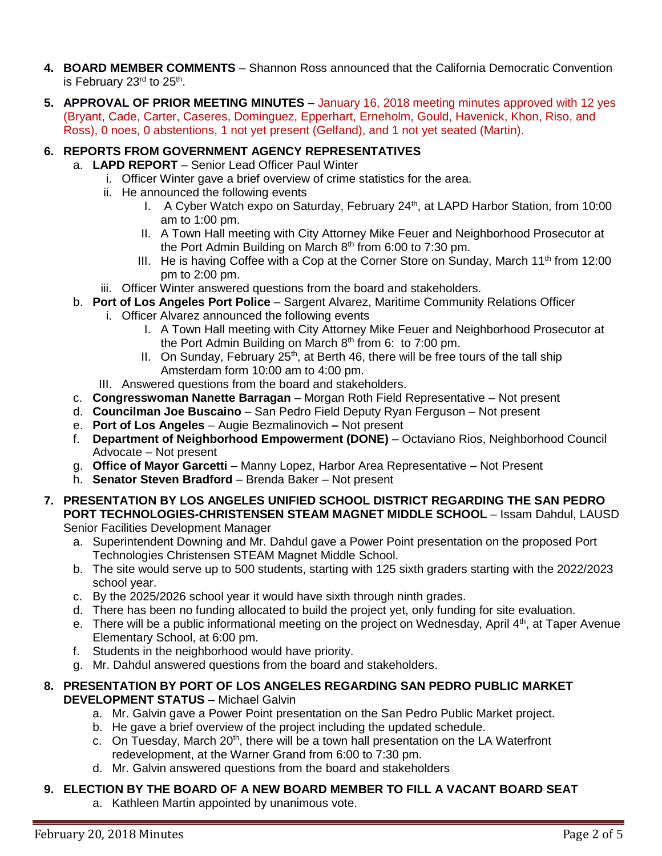- **4. BOARD MEMBER COMMENTS** Shannon Ross announced that the California Democratic Convention is February 23<sup>rd</sup> to 25<sup>th</sup>.
- **5. APPROVAL OF PRIOR MEETING MINUTES** January 16, 2018 meeting minutes approved with 12 yes (Bryant, Cade, Carter, Caseres, Dominguez, Epperhart, Erneholm, Gould, Havenick, Khon, Riso, and Ross), 0 noes, 0 abstentions, 1 not yet present (Gelfand), and 1 not yet seated (Martin).

# **6. REPORTS FROM GOVERNMENT AGENCY REPRESENTATIVES**

- a. **LAPD REPORT** Senior Lead Officer Paul Winter
	- i. Officer Winter gave a brief overview of crime statistics for the area.
	- ii. He announced the following events
		- I. A Cyber Watch expo on Saturday, February 24<sup>th</sup>, at LAPD Harbor Station, from 10:00 am to 1:00 pm.
		- II. A Town Hall meeting with City Attorney Mike Feuer and Neighborhood Prosecutor at the Port Admin Building on March  $8<sup>th</sup>$  from 6:00 to 7:30 pm.
		- III. He is having Coffee with a Cop at the Corner Store on Sunday, March  $11<sup>th</sup>$  from 12:00 pm to 2:00 pm.
	- iii. Officer Winter answered questions from the board and stakeholders.
- b. **Port of Los Angeles Port Police** Sargent Alvarez, Maritime Community Relations Officer
- i. Officer Alvarez announced the following events
	- I. A Town Hall meeting with City Attorney Mike Feuer and Neighborhood Prosecutor at the Port Admin Building on March  $8<sup>th</sup>$  from 6: to 7:00 pm.
	- II. On Sunday, February  $25<sup>th</sup>$ , at Berth 46, there will be free tours of the tall ship Amsterdam form 10:00 am to 4:00 pm.
	- III. Answered questions from the board and stakeholders.
- c. **Congresswoman Nanette Barragan** Morgan Roth Field Representative Not present
- d. **Councilman Joe Buscaino** San Pedro Field Deputy Ryan Ferguson Not present
- e. **Port of Los Angeles** Augie Bezmalinovich **–** Not present
- f. **Department of Neighborhood Empowerment (DONE)** Octaviano Rios, Neighborhood Council Advocate – Not present
- g. **Office of Mayor Garcetti** Manny Lopez, Harbor Area Representative Not Present
- h. **Senator Steven Bradford** Brenda Baker Not present
- **7. PRESENTATION BY LOS ANGELES UNIFIED SCHOOL DISTRICT REGARDING THE SAN PEDRO PORT TECHNOLOGIES-CHRISTENSEN STEAM MAGNET MIDDLE SCHOOL** – Issam Dahdul, LAUSD Senior Facilities Development Manager

a. Superintendent Downing and Mr. Dahdul gave a Power Point presentation on the proposed Port Technologies Christensen STEAM Magnet Middle School.

- b. The site would serve up to 500 students, starting with 125 sixth graders starting with the 2022/2023 school year.
- c. By the 2025/2026 school year it would have sixth through ninth grades.
- d. There has been no funding allocated to build the project yet, only funding for site evaluation.
- e. There will be a public informational meeting on the project on Wednesday, April  $4<sup>th</sup>$ , at Taper Avenue Elementary School, at 6:00 pm.
- f. Students in the neighborhood would have priority.
- g. Mr. Dahdul answered questions from the board and stakeholders.

## **8. PRESENTATION BY PORT OF LOS ANGELES REGARDING SAN PEDRO PUBLIC MARKET DEVELOPMENT STATUS** – Michael Galvin

- a. Mr. Galvin gave a Power Point presentation on the San Pedro Public Market project.
- b. He gave a brief overview of the project including the updated schedule.
- c. On Tuesday, March  $20<sup>th</sup>$ , there will be a town hall presentation on the LA Waterfront redevelopment, at the Warner Grand from 6:00 to 7:30 pm.
- d. Mr. Galvin answered questions from the board and stakeholders

# **9. ELECTION BY THE BOARD OF A NEW BOARD MEMBER TO FILL A VACANT BOARD SEAT**

a. Kathleen Martin appointed by unanimous vote.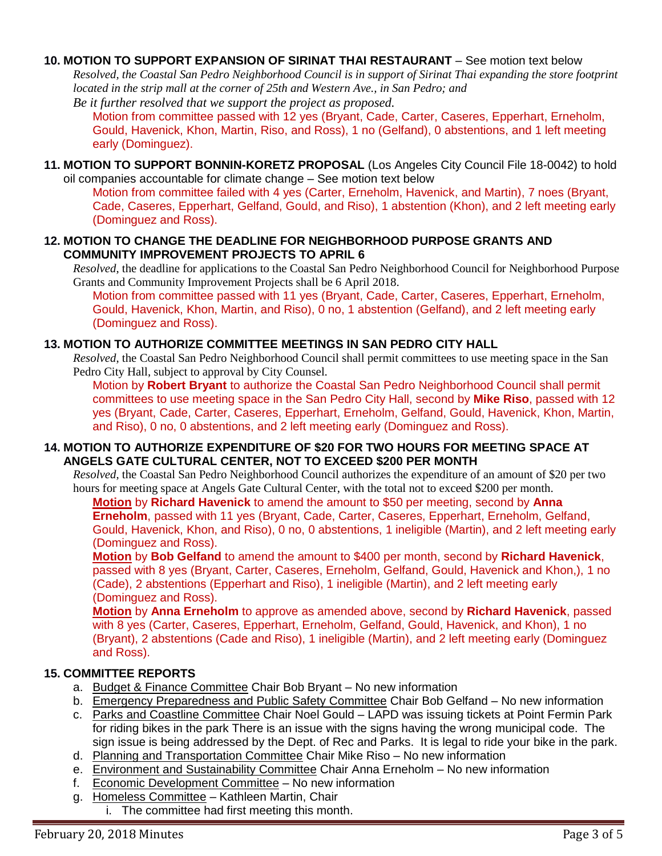## **10. MOTION TO SUPPORT EXPANSION OF SIRINAT THAI RESTAURANT** – See motion text below

*Resolved, the Coastal San Pedro Neighborhood Council is in support of Sirinat Thai expanding the store footprint located in the strip mall at the corner of 25th and Western Ave., in San Pedro; and Be it further resolved that we support the project as proposed.* 

Motion from committee passed with 12 yes (Bryant, Cade, Carter, Caseres, Epperhart, Erneholm, Gould, Havenick, Khon, Martin, Riso, and Ross), 1 no (Gelfand), 0 abstentions, and 1 left meeting early (Dominguez).

**11. MOTION TO SUPPORT BONNIN-KORETZ PROPOSAL** (Los Angeles City Council File 18-0042) to hold oil companies accountable for climate change – See motion text below

Motion from committee failed with 4 yes (Carter, Erneholm, Havenick, and Martin), 7 noes (Bryant, Cade, Caseres, Epperhart, Gelfand, Gould, and Riso), 1 abstention (Khon), and 2 left meeting early (Dominguez and Ross).

## **12. MOTION TO CHANGE THE DEADLINE FOR NEIGHBORHOOD PURPOSE GRANTS AND COMMUNITY IMPROVEMENT PROJECTS TO APRIL 6**

*Resolved*, the deadline for applications to the Coastal San Pedro Neighborhood Council for Neighborhood Purpose Grants and Community Improvement Projects shall be 6 April 2018.

Motion from committee passed with 11 yes (Bryant, Cade, Carter, Caseres, Epperhart, Erneholm, Gould, Havenick, Khon, Martin, and Riso), 0 no, 1 abstention (Gelfand), and 2 left meeting early (Dominguez and Ross).

## **13. MOTION TO AUTHORIZE COMMITTEE MEETINGS IN SAN PEDRO CITY HALL**

*Resolved*, the Coastal San Pedro Neighborhood Council shall permit committees to use meeting space in the San Pedro City Hall, subject to approval by City Counsel.

Motion by **Robert Bryant** to authorize the Coastal San Pedro Neighborhood Council shall permit committees to use meeting space in the San Pedro City Hall, second by **Mike Riso**, passed with 12 yes (Bryant, Cade, Carter, Caseres, Epperhart, Erneholm, Gelfand, Gould, Havenick, Khon, Martin, and Riso), 0 no, 0 abstentions, and 2 left meeting early (Dominguez and Ross).

## **14. MOTION TO AUTHORIZE EXPENDITURE OF \$20 FOR TWO HOURS FOR MEETING SPACE AT ANGELS GATE CULTURAL CENTER, NOT TO EXCEED \$200 PER MONTH**

*Resolved*, the Coastal San Pedro Neighborhood Council authorizes the expenditure of an amount of \$20 per two hours for meeting space at Angels Gate Cultural Center, with the total not to exceed \$200 per month.

**Motion** by **Richard Havenick** to amend the amount to \$50 per meeting, second by **Anna Erneholm**, passed with 11 yes (Bryant, Cade, Carter, Caseres, Epperhart, Erneholm, Gelfand, Gould, Havenick, Khon, and Riso), 0 no, 0 abstentions, 1 ineligible (Martin), and 2 left meeting early (Dominguez and Ross).

**Motion** by **Bob Gelfand** to amend the amount to \$400 per month, second by **Richard Havenick**, passed with 8 yes (Bryant, Carter, Caseres, Erneholm, Gelfand, Gould, Havenick and Khon,), 1 no (Cade), 2 abstentions (Epperhart and Riso), 1 ineligible (Martin), and 2 left meeting early (Dominguez and Ross).

**Motion** by **Anna Erneholm** to approve as amended above, second by **Richard Havenick**, passed with 8 yes (Carter, Caseres, Epperhart, Erneholm, Gelfand, Gould, Havenick, and Khon). 1 no (Bryant), 2 abstentions (Cade and Riso), 1 ineligible (Martin), and 2 left meeting early (Dominguez and Ross).

## **15. COMMITTEE REPORTS**

- a. Budget & Finance Committee Chair Bob Bryant No new information
- b. Emergency Preparedness and Public Safety Committee Chair Bob Gelfand No new information
- c. Parks and Coastline Committee Chair Noel Gould LAPD was issuing tickets at Point Fermin Park for riding bikes in the park There is an issue with the signs having the wrong municipal code. The sign issue is being addressed by the Dept. of Rec and Parks. It is legal to ride your bike in the park.
- d. Planning and Transportation Committee Chair Mike Riso No new information
- e. Environment and Sustainability Committee Chair Anna Erneholm No new information
- f. Economic Development Committee No new information
- g. Homeless Committee Kathleen Martin, Chair
	- i. The committee had first meeting this month.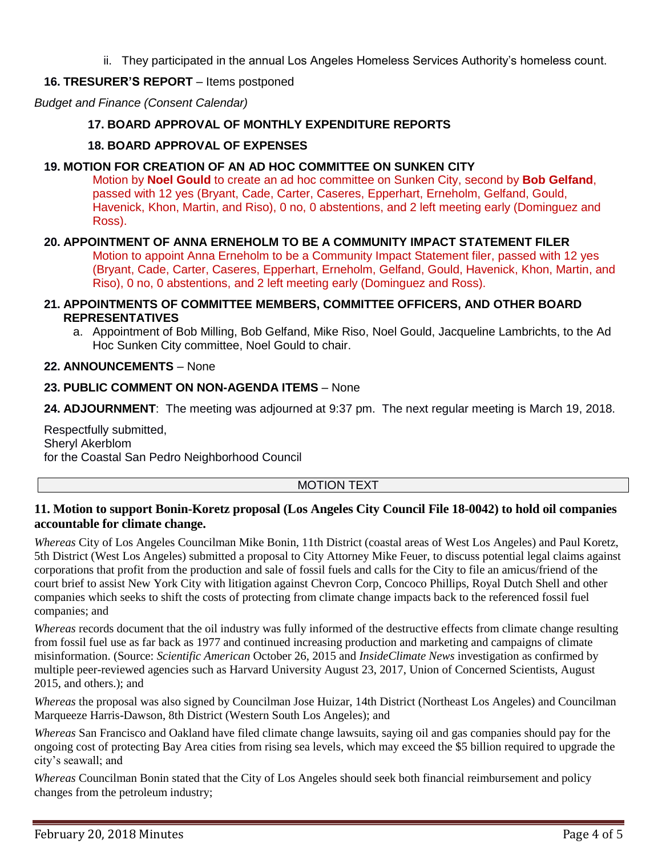ii. They participated in the annual Los Angeles Homeless Services Authority's homeless count.

## **16. TRESURER'S REPORT** – Items postponed

*Budget and Finance (Consent Calendar)*

## **17. BOARD APPROVAL OF MONTHLY EXPENDITURE REPORTS**

## **18. BOARD APPROVAL OF EXPENSES**

## **19. MOTION FOR CREATION OF AN AD HOC COMMITTEE ON SUNKEN CITY**

Motion by **Noel Gould** to create an ad hoc committee on Sunken City, second by **Bob Gelfand**, passed with 12 yes (Bryant, Cade, Carter, Caseres, Epperhart, Erneholm, Gelfand, Gould, Havenick, Khon, Martin, and Riso), 0 no, 0 abstentions, and 2 left meeting early (Dominguez and Ross).

## **20. APPOINTMENT OF ANNA ERNEHOLM TO BE A COMMUNITY IMPACT STATEMENT FILER**

Motion to appoint Anna Erneholm to be a Community Impact Statement filer, passed with 12 yes (Bryant, Cade, Carter, Caseres, Epperhart, Erneholm, Gelfand, Gould, Havenick, Khon, Martin, and Riso), 0 no, 0 abstentions, and 2 left meeting early (Dominguez and Ross).

#### **21. APPOINTMENTS OF COMMITTEE MEMBERS, COMMITTEE OFFICERS, AND OTHER BOARD REPRESENTATIVES**

a. Appointment of Bob Milling, Bob Gelfand, Mike Riso, Noel Gould, Jacqueline Lambrichts, to the Ad Hoc Sunken City committee, Noel Gould to chair.

#### **22. ANNOUNCEMENTS** – None

## **23. PUBLIC COMMENT ON NON-AGENDA ITEMS** – None

**24. ADJOURNMENT**:The meeting was adjourned at 9:37 pm. The next regular meeting is March 19, 2018.

Respectfully submitted, Sheryl Akerblom for the Coastal San Pedro Neighborhood Council

## MOTION TEXT

## **11. Motion to support Bonin-Koretz proposal (Los Angeles City Council File 18-0042) to hold oil companies accountable for climate change.**

*Whereas* City of Los Angeles Councilman Mike Bonin, 11th District (coastal areas of West Los Angeles) and Paul Koretz, 5th District (West Los Angeles) submitted a proposal to City Attorney Mike Feuer, to discuss potential legal claims against corporations that profit from the production and sale of fossil fuels and calls for the City to file an amicus/friend of the court brief to assist New York City with litigation against Chevron Corp, Concoco Phillips, Royal Dutch Shell and other companies which seeks to shift the costs of protecting from climate change impacts back to the referenced fossil fuel companies; and

*Whereas* records document that the oil industry was fully informed of the destructive effects from climate change resulting from fossil fuel use as far back as 1977 and continued increasing production and marketing and campaigns of climate misinformation. (Source: *Scientific American* October 26, 2015 and *InsideClimate News* investigation as confirmed by multiple peer-reviewed agencies such as Harvard University August 23, 2017, Union of Concerned Scientists, August 2015, and others.); and

*Whereas* the proposal was also signed by Councilman Jose Huizar, 14th District (Northeast Los Angeles) and Councilman Marqueeze Harris-Dawson, 8th District (Western South Los Angeles); and

*Whereas* San Francisco and Oakland have filed climate change lawsuits, saying oil and gas companies should pay for the ongoing cost of protecting Bay Area cities from rising sea levels, which may exceed the \$5 billion required to upgrade the city's seawall; and

*Whereas* Councilman Bonin stated that the City of Los Angeles should seek both financial reimbursement and policy changes from the petroleum industry;